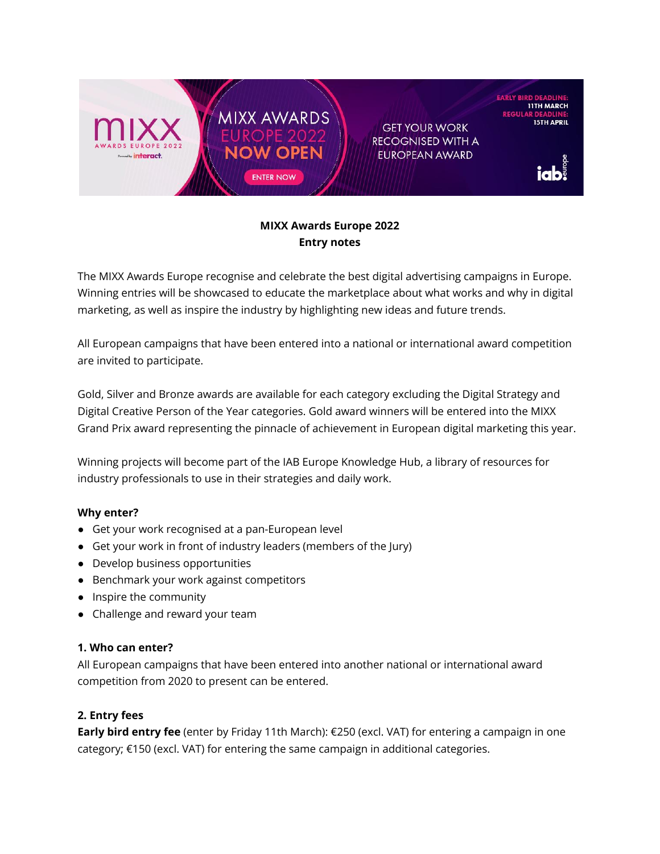

# **MIXX Awards Europe 2022 Entry notes**

The MIXX Awards Europe recognise and celebrate the best digital advertising campaigns in Europe. Winning entries will be showcased to educate the marketplace about what works and why in digital marketing, as well as inspire the industry by highlighting new ideas and future trends.

All European campaigns that have been entered into a national or international award competition are invited to participate.

Gold, Silver and Bronze awards are available for each category excluding the Digital Strategy and Digital Creative Person of the Year categories. Gold award winners will be entered into the MIXX Grand Prix award representing the pinnacle of achievement in European digital marketing this year.

Winning projects will become part of the IAB Europe Knowledge Hub, a library of resources for industry professionals to use in their strategies and daily work.

# **Why enter?**

- Get your work recognised at a pan-European level
- Get your work in front of industry leaders (members of the Jury)
- Develop business opportunities
- Benchmark your work against competitors
- Inspire the community
- Challenge and reward your team

### **1. Who can enter?**

All European campaigns that have been entered into another national or international award competition from 2020 to present can be entered.

# **2. Entry fees**

**Early bird entry fee** (enter by Friday 11th March): €250 (excl. VAT) for entering a campaign in one category; €150 (excl. VAT) for entering the same campaign in additional categories.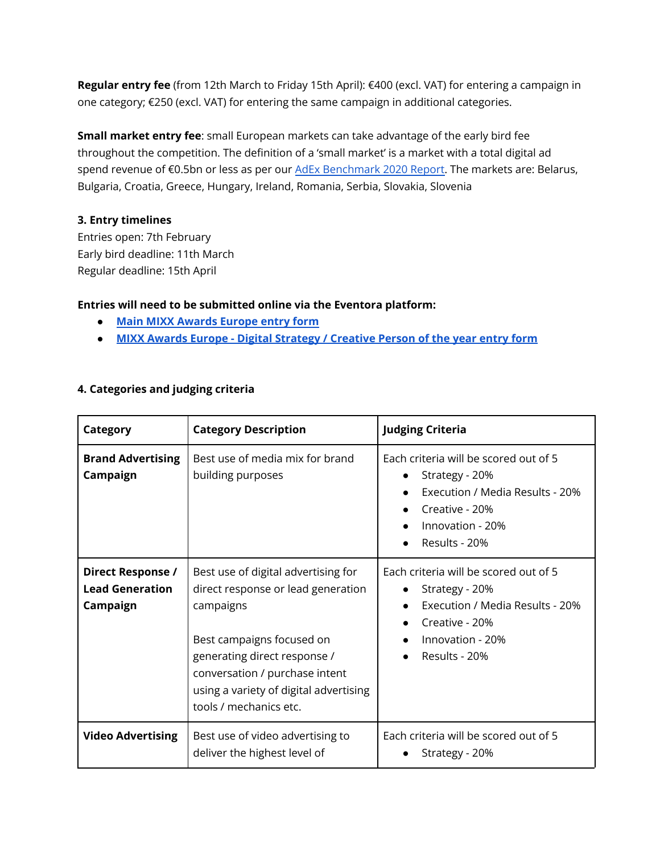**Regular entry fee** (from 12th March to Friday 15th April): €400 (excl. VAT) for entering a campaign in one category; €250 (excl. VAT) for entering the same campaign in additional categories.

**Small market entry fee**: small European markets can take advantage of the early bird fee throughout the competition. The definition of a 'small market' is a market with a total digital ad spend revenue of €0.5bn or less as per our AdEx [Benchmark](https://iabeurope.eu/knowledge-hub/iab-europe-adex-benchmark-2020-report/) 2020 Report. The markets are: Belarus, Bulgaria, Croatia, Greece, Hungary, Ireland, Romania, Serbia, Slovakia, Slovenia

### **3. Entry timelines**

Entries open: 7th February Early bird deadline: 11th March Regular deadline: 15th April

### **Entries will need to be submitted online via the Eventora platform:**

- **● Main MIXX [Awards](https://www.eventora.com/en/Events/mixx-awards-europe-2022/Submissions/Create) Europe entry form**
- **● MIXX Awards Europe - Digital [Strategy](https://www.eventora.com/en/Events/mixx-awards-europe-2022-person/Submissions/CreateInitial/1f373f7f-b738-4368-b131-7cb00f1c0d4d) / Creative Person of the year entry form**

| <b>Category</b>                                                | <b>Category Description</b>                                                                                                                                                                                                                               | <b>Judging Criteria</b>                                                                                                                                        |
|----------------------------------------------------------------|-----------------------------------------------------------------------------------------------------------------------------------------------------------------------------------------------------------------------------------------------------------|----------------------------------------------------------------------------------------------------------------------------------------------------------------|
| <b>Brand Advertising</b><br>Campaign                           | Best use of media mix for brand<br>building purposes                                                                                                                                                                                                      | Each criteria will be scored out of 5<br>Strategy - 20%<br>$\bullet$<br>Execution / Media Results - 20%<br>Creative - 20%<br>Innovation - 20%<br>Results - 20% |
| <b>Direct Response /</b><br><b>Lead Generation</b><br>Campaign | Best use of digital advertising for<br>direct response or lead generation<br>campaigns<br>Best campaigns focused on<br>generating direct response /<br>conversation / purchase intent<br>using a variety of digital advertising<br>tools / mechanics etc. | Each criteria will be scored out of 5<br>Strategy - 20%<br>Execution / Media Results - 20%<br>Creative - 20%<br>Innovation - 20%<br>Results - 20%              |
| <b>Video Advertising</b>                                       | Best use of video advertising to<br>deliver the highest level of                                                                                                                                                                                          | Each criteria will be scored out of 5<br>Strategy - 20%                                                                                                        |

### **4. Categories and judging criteria**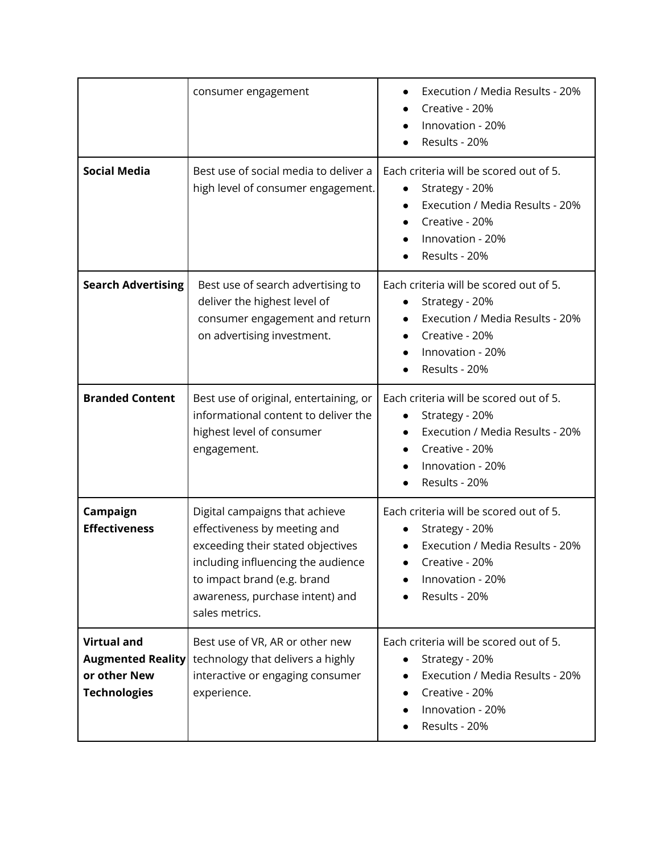|                                                                                       | consumer engagement                                                                                                                                                                                                           | Execution / Media Results - 20%<br>Creative - 20%<br>Innovation - 20%<br>Results - 20%                                                                          |
|---------------------------------------------------------------------------------------|-------------------------------------------------------------------------------------------------------------------------------------------------------------------------------------------------------------------------------|-----------------------------------------------------------------------------------------------------------------------------------------------------------------|
| <b>Social Media</b>                                                                   | Best use of social media to deliver a<br>high level of consumer engagement.                                                                                                                                                   | Each criteria will be scored out of 5.<br>Strategy - 20%<br>Execution / Media Results - 20%<br>Creative - 20%<br>Innovation - 20%<br>Results - 20%              |
| <b>Search Advertising</b>                                                             | Best use of search advertising to<br>deliver the highest level of<br>consumer engagement and return<br>on advertising investment.                                                                                             | Each criteria will be scored out of 5.<br>Strategy - 20%<br>Execution / Media Results - 20%<br>Creative - 20%<br>Innovation - 20%<br>Results - 20%              |
| <b>Branded Content</b>                                                                | Best use of original, entertaining, or<br>informational content to deliver the<br>highest level of consumer<br>engagement.                                                                                                    | Each criteria will be scored out of 5.<br>Strategy - 20%<br>$\bullet$<br>Execution / Media Results - 20%<br>Creative - 20%<br>Innovation - 20%<br>Results - 20% |
| Campaign<br><b>Effectiveness</b>                                                      | Digital campaigns that achieve<br>effectiveness by meeting and<br>exceeding their stated objectives<br>including influencing the audience<br>to impact brand (e.g. brand<br>awareness, purchase intent) and<br>sales metrics. | Each criteria will be scored out of 5.<br>Strategy - 20%<br>Execution / Media Results - 20%<br>Creative - 20%<br>Innovation - 20%<br>Results - 20%              |
| <b>Virtual and</b><br><b>Augmented Reality</b><br>or other New<br><b>Technologies</b> | Best use of VR, AR or other new<br>technology that delivers a highly<br>interactive or engaging consumer<br>experience.                                                                                                       | Each criteria will be scored out of 5.<br>Strategy - 20%<br>Execution / Media Results - 20%<br>Creative - 20%<br>Innovation - 20%<br>Results - 20%              |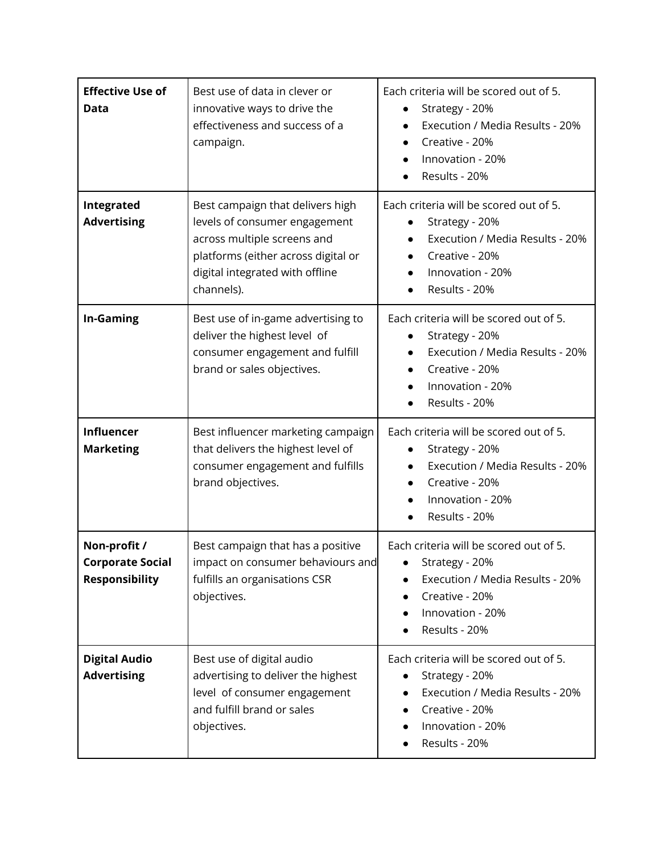| <b>Effective Use of</b><br>Data                                  | Best use of data in clever or<br>innovative ways to drive the<br>effectiveness and success of a<br>campaign.                                                                             | Each criteria will be scored out of 5.<br>Strategy - 20%<br>Execution / Media Results - 20%<br>Creative - 20%<br>$\bullet$<br>Innovation - 20%<br>Results - 20% |
|------------------------------------------------------------------|------------------------------------------------------------------------------------------------------------------------------------------------------------------------------------------|-----------------------------------------------------------------------------------------------------------------------------------------------------------------|
| Integrated<br><b>Advertising</b>                                 | Best campaign that delivers high<br>levels of consumer engagement<br>across multiple screens and<br>platforms (either across digital or<br>digital integrated with offline<br>channels). | Each criteria will be scored out of 5.<br>Strategy - 20%<br>Execution / Media Results - 20%<br>Creative - 20%<br>Innovation - 20%<br>Results - 20%              |
| <b>In-Gaming</b>                                                 | Best use of in-game advertising to<br>deliver the highest level of<br>consumer engagement and fulfill<br>brand or sales objectives.                                                      | Each criteria will be scored out of 5.<br>Strategy - 20%<br>Execution / Media Results - 20%<br>Creative - 20%<br>Innovation - 20%<br>Results - 20%              |
| <b>Influencer</b><br><b>Marketing</b>                            | Best influencer marketing campaign<br>that delivers the highest level of<br>consumer engagement and fulfills<br>brand objectives.                                                        | Each criteria will be scored out of 5.<br>Strategy - 20%<br>Execution / Media Results - 20%<br>Creative - 20%<br>Innovation - 20%<br>Results - 20%              |
| Non-profit /<br><b>Corporate Social</b><br><b>Responsibility</b> | Best campaign that has a positive<br>impact on consumer behaviours and<br>fulfills an organisations CSR<br>objectives.                                                                   | Each criteria will be scored out of 5.<br>Strategy - 20%<br>Execution / Media Results - 20%<br>Creative - 20%<br>Innovation - 20%<br>Results - 20%              |
| <b>Digital Audio</b><br><b>Advertising</b>                       | Best use of digital audio<br>advertising to deliver the highest<br>level of consumer engagement<br>and fulfill brand or sales<br>objectives.                                             | Each criteria will be scored out of 5.<br>Strategy - 20%<br>Execution / Media Results - 20%<br>Creative - 20%<br>Innovation - 20%<br>Results - 20%              |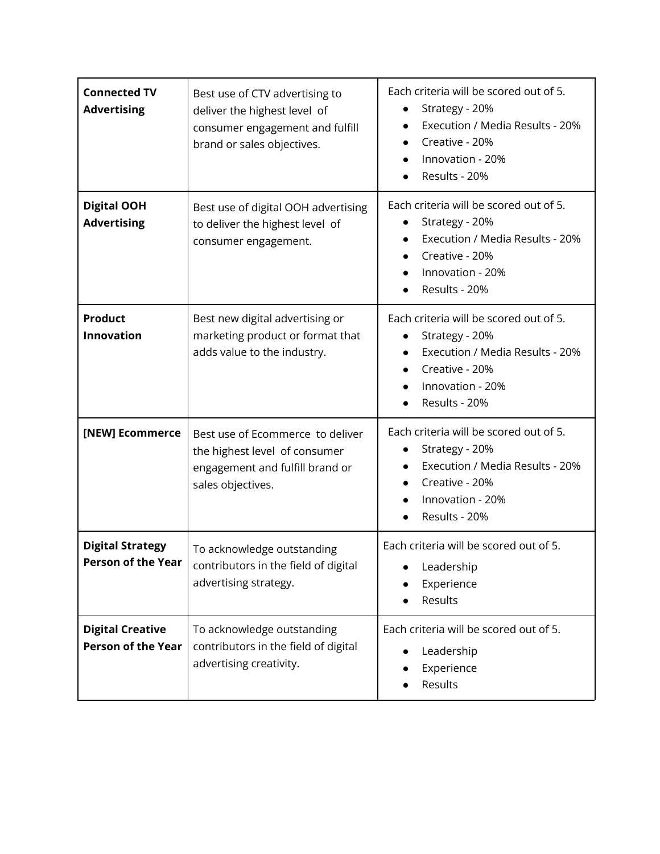| <b>Connected TV</b><br><b>Advertising</b>            | Best use of CTV advertising to<br>deliver the highest level of<br>consumer engagement and fulfill<br>brand or sales objectives. | Each criteria will be scored out of 5.<br>Strategy - 20%<br>Execution / Media Results - 20%<br>$\bullet$<br>Creative - 20%<br>$\bullet$<br>Innovation - 20%<br>Results - 20%                           |
|------------------------------------------------------|---------------------------------------------------------------------------------------------------------------------------------|--------------------------------------------------------------------------------------------------------------------------------------------------------------------------------------------------------|
| <b>Digital OOH</b><br><b>Advertising</b>             | Best use of digital OOH advertising<br>to deliver the highest level of<br>consumer engagement.                                  | Each criteria will be scored out of 5.<br>Strategy - 20%<br>$\bullet$<br>Execution / Media Results - 20%<br>Creative - 20%<br>$\bullet$<br>Innovation - 20%<br>$\bullet$<br>Results - 20%              |
| <b>Product</b><br><b>Innovation</b>                  | Best new digital advertising or<br>marketing product or format that<br>adds value to the industry.                              | Each criteria will be scored out of 5.<br>Strategy - 20%<br>$\bullet$<br>Execution / Media Results - 20%<br>$\bullet$<br>Creative - 20%<br>$\bullet$<br>Innovation - 20%<br>Results - 20%<br>$\bullet$ |
| [NEW] Ecommerce                                      | Best use of Ecommerce to deliver<br>the highest level of consumer<br>engagement and fulfill brand or<br>sales objectives.       | Each criteria will be scored out of 5.<br>Strategy - 20%<br>$\bullet$<br>Execution / Media Results - 20%<br>$\bullet$<br>Creative - 20%<br>$\bullet$<br>Innovation - 20%<br>Results - 20%              |
| <b>Digital Strategy</b><br><b>Person of the Year</b> | To acknowledge outstanding<br>contributors in the field of digital<br>advertising strategy.                                     | Each criteria will be scored out of 5.<br>Leadership<br>Experience<br>Results                                                                                                                          |
| <b>Digital Creative</b><br><b>Person of the Year</b> | To acknowledge outstanding<br>contributors in the field of digital<br>advertising creativity.                                   | Each criteria will be scored out of 5.<br>Leadership<br>Experience<br>Results                                                                                                                          |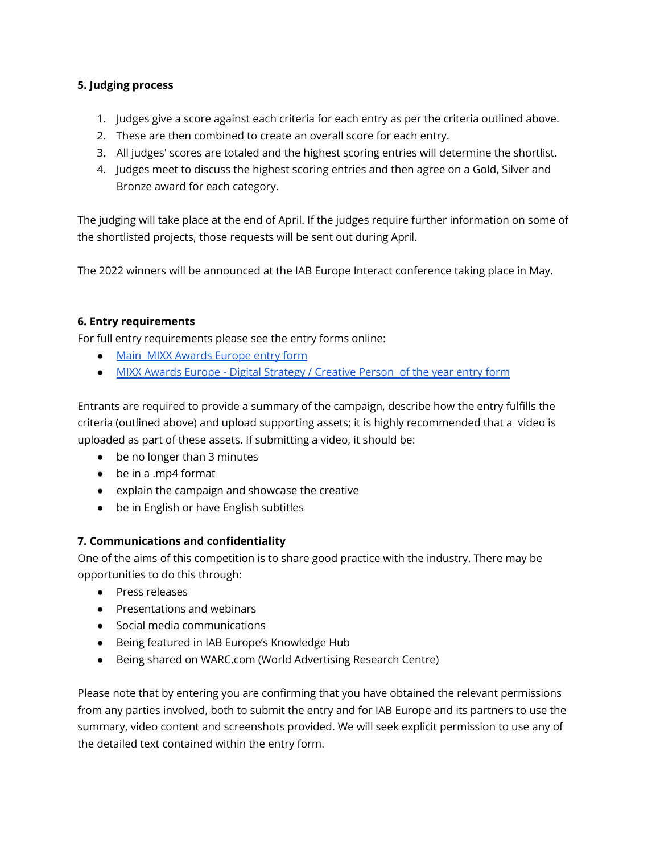### **5. Judging process**

- 1. Judges give a score against each criteria for each entry as per the criteria outlined above.
- 2. These are then combined to create an overall score for each entry.
- 3. All judges' scores are totaled and the highest scoring entries will determine the shortlist.
- 4. Judges meet to discuss the highest scoring entries and then agree on a Gold, Silver and Bronze award for each category.

The judging will take place at the end of April. If the judges require further information on some of the shortlisted projects, those requests will be sent out during April.

The 2022 winners will be announced at the IAB Europe Interact conference taking place in May.

### **6. Entry requirements**

For full entry requirements please see the entry forms online:

- Main MIXX [Awards](https://www.eventora.com//en/Events/mixx-awards-europe-2022/Submissions/Create) Europe entry form
- MIXX Awards Europe Digital [Strategy](https://www.eventora.com/en/Events/mixx-awards-europe-2022-person/Submissions/CreateInitial/9b4bfa24-0f05-451b-9dac-13638566170a) / Creative Person of the year entry form

Entrants are required to provide a summary of the campaign, describe how the entry fulfills the criteria (outlined above) and upload supporting assets; it is highly recommended that a video is uploaded as part of these assets. If submitting a video, it should be:

- be no longer than 3 minutes
- be in a .mp4 format
- explain the campaign and showcase the creative
- be in English or have English subtitles

# **7. Communications and confidentiality**

One of the aims of this competition is to share good practice with the industry. There may be opportunities to do this through:

- Press releases
- Presentations and webinars
- Social media communications
- Being featured in IAB Europe's Knowledge Hub
- Being shared on WARC.com (World Advertising Research Centre)

Please note that by entering you are confirming that you have obtained the relevant permissions from any parties involved, both to submit the entry and for IAB Europe and its partners to use the summary, video content and screenshots provided. We will seek explicit permission to use any of the detailed text contained within the entry form.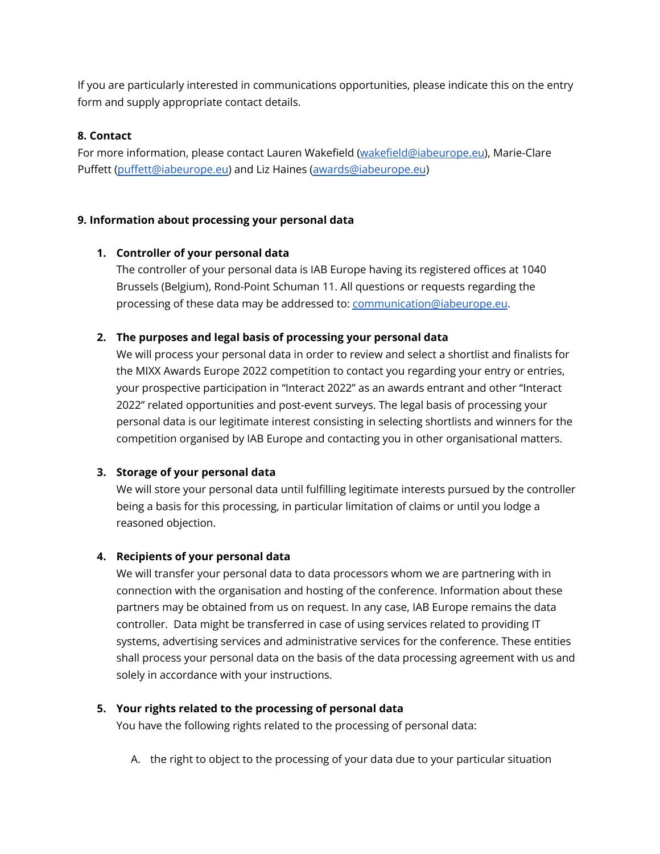If you are particularly interested in communications opportunities, please indicate this on the entry form and supply appropriate contact details.

### **8. Contact**

For more information, please contact Lauren Wakefield [\(wakefield@iabeurope.eu\)](mailto:wakefield@iabeurope.eu), Marie-Clare Puffett [\(puffett@iabeurope.eu\)](mailto:puffett@iabeurope.eu) and Liz Haines [\(awards@iabeurope.eu](mailto:awards@iabeurope.eu))

### **9. Information about processing your personal data**

### **1. Controller of your personal data**

The controller of your personal data is IAB Europe having its registered offices at 1040 Brussels (Belgium), Rond-Point Schuman 11. All questions or requests regarding the processing of these data may be addressed to: [communication@iabeurope.eu](mailto:communication@iabeurope.eu).

### **2. The purposes and legal basis of processing your personal data**

We will process your personal data in order to review and select a shortlist and finalists for the MIXX Awards Europe 2022 competition to contact you regarding your entry or entries, your prospective participation in "Interact 2022" as an awards entrant and other "Interact 2022" related opportunities and post-event surveys. The legal basis of processing your personal data is our legitimate interest consisting in selecting shortlists and winners for the competition organised by IAB Europe and contacting you in other organisational matters.

### **3. Storage of your personal data**

We will store your personal data until fulfilling legitimate interests pursued by the controller being a basis for this processing, in particular limitation of claims or until you lodge a reasoned objection.

### **4. Recipients of your personal data**

We will transfer your personal data to data processors whom we are partnering with in connection with the organisation and hosting of the conference. Information about these partners may be obtained from us on request. In any case, IAB Europe remains the data controller. Data might be transferred in case of using services related to providing IT systems, advertising services and administrative services for the conference. These entities shall process your personal data on the basis of the data processing agreement with us and solely in accordance with your instructions.

### **5. Your rights related to the processing of personal data**

You have the following rights related to the processing of personal data:

A. the right to object to the processing of your data due to your particular situation